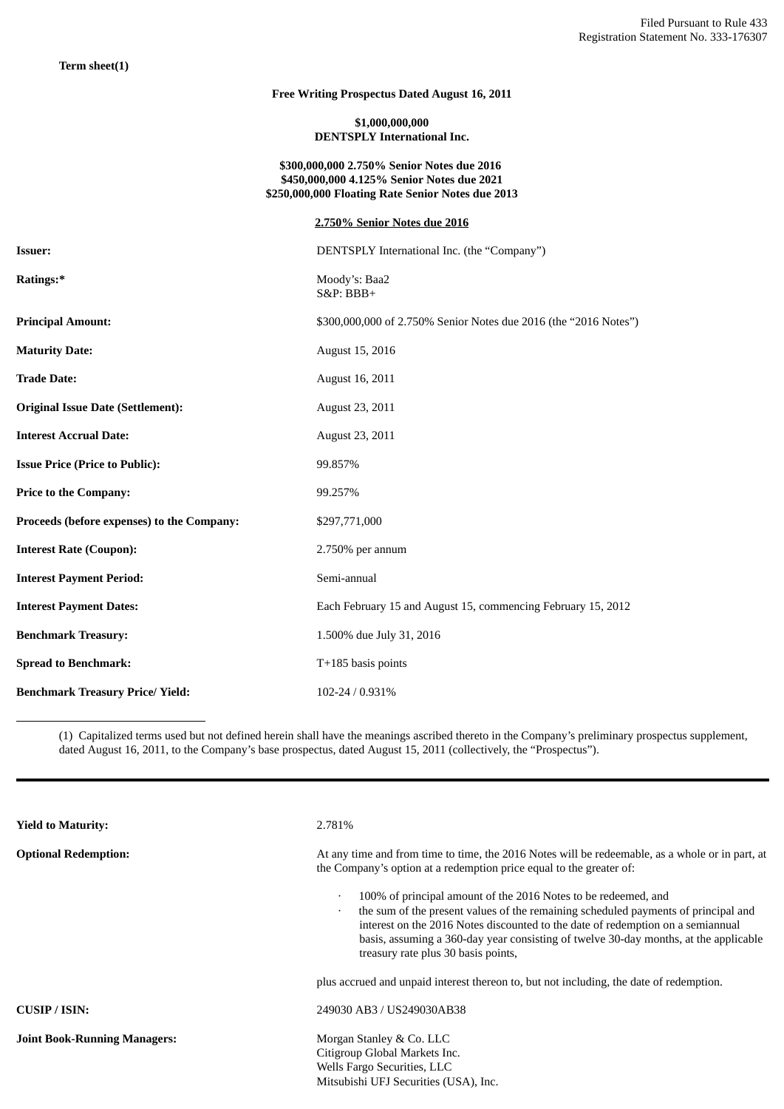# **Free Writing Prospectus Dated August 16, 2011**

## **\$1,000,000,000 DENTSPLY International Inc.**

### **\$300,000,000 2.750% Senior Notes due 2016 \$450,000,000 4.125% Senior Notes due 2021 \$250,000,000 Floating Rate Senior Notes due 2013**

|                                            | 2.750% Senior Notes due 2016                                     |
|--------------------------------------------|------------------------------------------------------------------|
| <b>Issuer:</b>                             | DENTSPLY International Inc. (the "Company")                      |
| Ratings:*                                  | Moody's: Baa2<br><b>S&amp;P: BBB+</b>                            |
| <b>Principal Amount:</b>                   | \$300,000,000 of 2.750% Senior Notes due 2016 (the "2016 Notes") |
| <b>Maturity Date:</b>                      | August 15, 2016                                                  |
| <b>Trade Date:</b>                         | August 16, 2011                                                  |
| <b>Original Issue Date (Settlement):</b>   | August 23, 2011                                                  |
| <b>Interest Accrual Date:</b>              | August 23, 2011                                                  |
| <b>Issue Price (Price to Public):</b>      | 99.857%                                                          |
| <b>Price to the Company:</b>               | 99.257%                                                          |
| Proceeds (before expenses) to the Company: | \$297,771,000                                                    |
| <b>Interest Rate (Coupon):</b>             | 2.750% per annum                                                 |
| <b>Interest Payment Period:</b>            | Semi-annual                                                      |
| <b>Interest Payment Dates:</b>             | Each February 15 and August 15, commencing February 15, 2012     |
| <b>Benchmark Treasury:</b>                 | 1.500% due July 31, 2016                                         |
| <b>Spread to Benchmark:</b>                | $T+185$ basis points                                             |
| <b>Benchmark Treasury Price/ Yield:</b>    | 102-24 / 0.931%                                                  |

(1) Capitalized terms used but not defined herein shall have the meanings ascribed thereto in the Company's preliminary prospectus supplement, dated August 16, 2011, to the Company's base prospectus, dated August 15, 2011 (collectively, the "Prospectus").

| <b>Yield to Maturity:</b>           | 2.781%                                                                                                                                                                                                                                                                                                                                                                                           |  |
|-------------------------------------|--------------------------------------------------------------------------------------------------------------------------------------------------------------------------------------------------------------------------------------------------------------------------------------------------------------------------------------------------------------------------------------------------|--|
| <b>Optional Redemption:</b>         | At any time and from time to time, the 2016 Notes will be redeemable, as a whole or in part, at<br>the Company's option at a redemption price equal to the greater of:                                                                                                                                                                                                                           |  |
|                                     | 100% of principal amount of the 2016 Notes to be redeemed, and<br>$\bullet$<br>the sum of the present values of the remaining scheduled payments of principal and<br>$\bullet$<br>interest on the 2016 Notes discounted to the date of redemption on a semiannual<br>basis, assuming a 360-day year consisting of twelve 30-day months, at the applicable<br>treasury rate plus 30 basis points, |  |
|                                     | plus accrued and unpaid interest thereon to, but not including, the date of redemption.                                                                                                                                                                                                                                                                                                          |  |
| CUSIP/ISIN:                         | 249030 AB3 / US249030AB38                                                                                                                                                                                                                                                                                                                                                                        |  |
| <b>Joint Book-Running Managers:</b> | Morgan Stanley & Co. LLC<br>Citigroup Global Markets Inc.<br>Wells Fargo Securities, LLC<br>Mitsubishi UFJ Securities (USA), Inc.                                                                                                                                                                                                                                                                |  |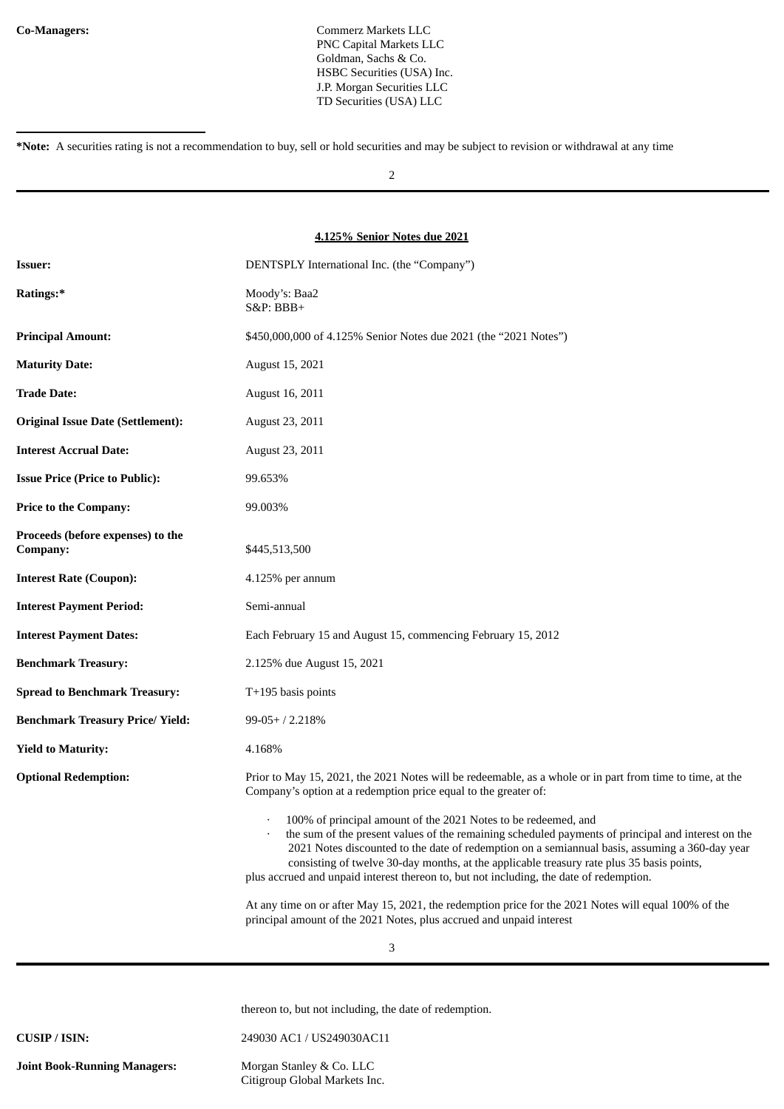**Co-Managers:** Commerz Markets LLC PNC Capital Markets LLC Goldman, Sachs & Co. HSBC Securities (USA) Inc. J.P. Morgan Securities LLC TD Securities (USA) LLC

2

#### **4.125% Senior Notes due 2021**

| <b>Issuer:</b>                                | DENTSPLY International Inc. (the "Company")                                                                                                                                                                                                                                                                                                                                                                                                                    |
|-----------------------------------------------|----------------------------------------------------------------------------------------------------------------------------------------------------------------------------------------------------------------------------------------------------------------------------------------------------------------------------------------------------------------------------------------------------------------------------------------------------------------|
| Ratings:*                                     | Moody's: Baa2<br>$S&P:BBB+$                                                                                                                                                                                                                                                                                                                                                                                                                                    |
| <b>Principal Amount:</b>                      | \$450,000,000 of 4.125% Senior Notes due 2021 (the "2021 Notes")                                                                                                                                                                                                                                                                                                                                                                                               |
| <b>Maturity Date:</b>                         | August 15, 2021                                                                                                                                                                                                                                                                                                                                                                                                                                                |
| <b>Trade Date:</b>                            | August 16, 2011                                                                                                                                                                                                                                                                                                                                                                                                                                                |
| <b>Original Issue Date (Settlement):</b>      | August 23, 2011                                                                                                                                                                                                                                                                                                                                                                                                                                                |
| <b>Interest Accrual Date:</b>                 | August 23, 2011                                                                                                                                                                                                                                                                                                                                                                                                                                                |
| <b>Issue Price (Price to Public):</b>         | 99.653%                                                                                                                                                                                                                                                                                                                                                                                                                                                        |
| <b>Price to the Company:</b>                  | 99.003%                                                                                                                                                                                                                                                                                                                                                                                                                                                        |
| Proceeds (before expenses) to the<br>Company: | \$445,513,500                                                                                                                                                                                                                                                                                                                                                                                                                                                  |
| <b>Interest Rate (Coupon):</b>                | $4.125\%$ per annum                                                                                                                                                                                                                                                                                                                                                                                                                                            |
| <b>Interest Payment Period:</b>               | Semi-annual                                                                                                                                                                                                                                                                                                                                                                                                                                                    |
| <b>Interest Payment Dates:</b>                | Each February 15 and August 15, commencing February 15, 2012                                                                                                                                                                                                                                                                                                                                                                                                   |
| <b>Benchmark Treasury:</b>                    | 2.125% due August 15, 2021                                                                                                                                                                                                                                                                                                                                                                                                                                     |
| <b>Spread to Benchmark Treasury:</b>          | $T+195$ basis points                                                                                                                                                                                                                                                                                                                                                                                                                                           |
| <b>Benchmark Treasury Price/ Yield:</b>       | $99-05+ / 2.218%$                                                                                                                                                                                                                                                                                                                                                                                                                                              |
| <b>Yield to Maturity:</b>                     | 4.168%                                                                                                                                                                                                                                                                                                                                                                                                                                                         |
| <b>Optional Redemption:</b>                   | Prior to May 15, 2021, the 2021 Notes will be redeemable, as a whole or in part from time to time, at the<br>Company's option at a redemption price equal to the greater of:                                                                                                                                                                                                                                                                                   |
|                                               | 100% of principal amount of the 2021 Notes to be redeemed, and<br>the sum of the present values of the remaining scheduled payments of principal and interest on the<br>2021 Notes discounted to the date of redemption on a semiannual basis, assuming a 360-day year<br>consisting of twelve 30-day months, at the applicable treasury rate plus 35 basis points,<br>plus accrued and unpaid interest thereon to, but not including, the date of redemption. |
|                                               | At any time on or after May 15, 2021, the redemption price for the 2021 Notes will equal 100% of the<br>principal amount of the 2021 Notes, plus accrued and unpaid interest                                                                                                                                                                                                                                                                                   |

thereon to, but not including, the date of redemption.

**CUSIP / ISIN:** 249030 AC1 / US249030AC11

**Joint Book-Running Managers:** Morgan Stanley & Co. LLC Citigroup Global Markets Inc.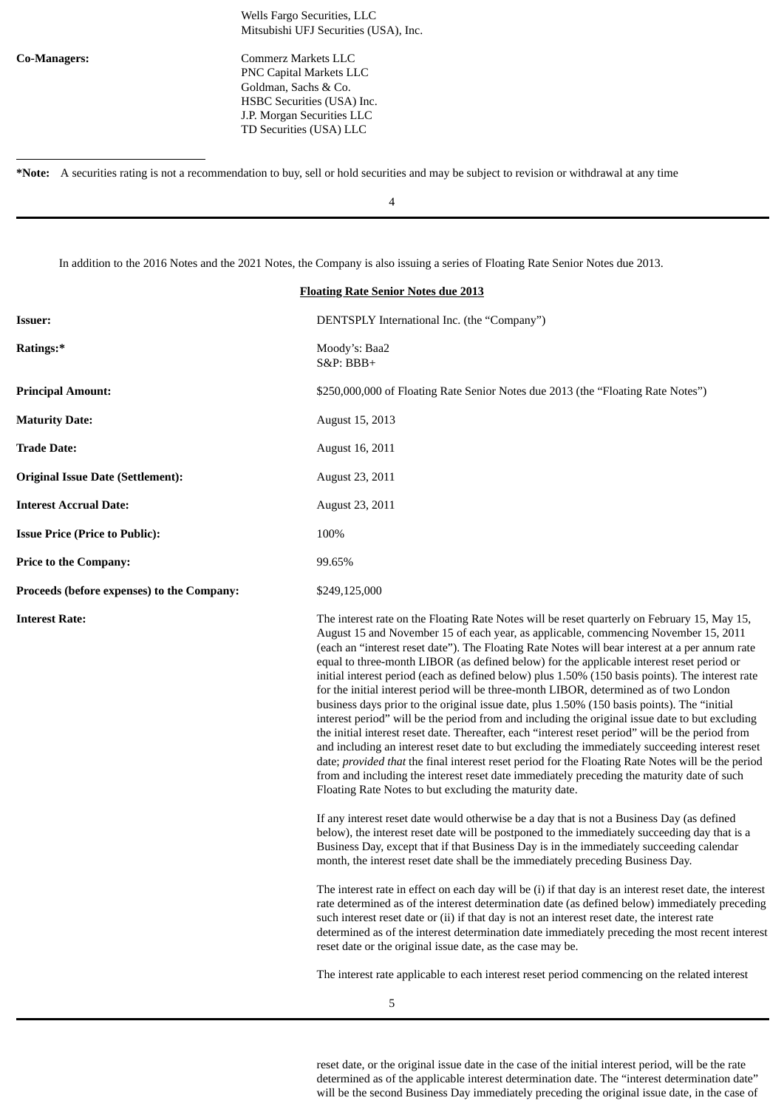Wells Fargo Securities, LLC Mitsubishi UFJ Securities (USA), Inc.

**Co-Managers:** Commerz Markets LLC PNC Capital Markets LLC Goldman, Sachs & Co. HSBC Securities (USA) Inc. J.P. Morgan Securities LLC TD Securities (USA) LLC

**\*Note:** A securities rating is not a recommendation to buy, sell or hold securities and may be subject to revision or withdrawal at any time

4

In addition to the 2016 Notes and the 2021 Notes, the Company is also issuing a series of Floating Rate Senior Notes due 2013.

| <b>Floating Rate Senior Notes due 2013</b> |                                                                                                                                                                                                                                                                                                                                                                                                                                                                                                                                                                                                                                                                                                                                                                                                                                                                                                                                                                                                                                                                                                                                                                                                                                                                                                                                                                                                                                                                                                                                                                                                                                          |  |
|--------------------------------------------|------------------------------------------------------------------------------------------------------------------------------------------------------------------------------------------------------------------------------------------------------------------------------------------------------------------------------------------------------------------------------------------------------------------------------------------------------------------------------------------------------------------------------------------------------------------------------------------------------------------------------------------------------------------------------------------------------------------------------------------------------------------------------------------------------------------------------------------------------------------------------------------------------------------------------------------------------------------------------------------------------------------------------------------------------------------------------------------------------------------------------------------------------------------------------------------------------------------------------------------------------------------------------------------------------------------------------------------------------------------------------------------------------------------------------------------------------------------------------------------------------------------------------------------------------------------------------------------------------------------------------------------|--|
| <b>Issuer:</b>                             | DENTSPLY International Inc. (the "Company")                                                                                                                                                                                                                                                                                                                                                                                                                                                                                                                                                                                                                                                                                                                                                                                                                                                                                                                                                                                                                                                                                                                                                                                                                                                                                                                                                                                                                                                                                                                                                                                              |  |
| Ratings:*                                  | Moody's: Baa2<br>S&P: BBB+                                                                                                                                                                                                                                                                                                                                                                                                                                                                                                                                                                                                                                                                                                                                                                                                                                                                                                                                                                                                                                                                                                                                                                                                                                                                                                                                                                                                                                                                                                                                                                                                               |  |
| <b>Principal Amount:</b>                   | \$250,000,000 of Floating Rate Senior Notes due 2013 (the "Floating Rate Notes")                                                                                                                                                                                                                                                                                                                                                                                                                                                                                                                                                                                                                                                                                                                                                                                                                                                                                                                                                                                                                                                                                                                                                                                                                                                                                                                                                                                                                                                                                                                                                         |  |
| <b>Maturity Date:</b>                      | August 15, 2013                                                                                                                                                                                                                                                                                                                                                                                                                                                                                                                                                                                                                                                                                                                                                                                                                                                                                                                                                                                                                                                                                                                                                                                                                                                                                                                                                                                                                                                                                                                                                                                                                          |  |
| <b>Trade Date:</b>                         | August 16, 2011                                                                                                                                                                                                                                                                                                                                                                                                                                                                                                                                                                                                                                                                                                                                                                                                                                                                                                                                                                                                                                                                                                                                                                                                                                                                                                                                                                                                                                                                                                                                                                                                                          |  |
| <b>Original Issue Date (Settlement):</b>   | August 23, 2011                                                                                                                                                                                                                                                                                                                                                                                                                                                                                                                                                                                                                                                                                                                                                                                                                                                                                                                                                                                                                                                                                                                                                                                                                                                                                                                                                                                                                                                                                                                                                                                                                          |  |
| <b>Interest Accrual Date:</b>              | August 23, 2011                                                                                                                                                                                                                                                                                                                                                                                                                                                                                                                                                                                                                                                                                                                                                                                                                                                                                                                                                                                                                                                                                                                                                                                                                                                                                                                                                                                                                                                                                                                                                                                                                          |  |
| <b>Issue Price (Price to Public):</b>      | 100%                                                                                                                                                                                                                                                                                                                                                                                                                                                                                                                                                                                                                                                                                                                                                                                                                                                                                                                                                                                                                                                                                                                                                                                                                                                                                                                                                                                                                                                                                                                                                                                                                                     |  |
| <b>Price to the Company:</b>               | 99.65%                                                                                                                                                                                                                                                                                                                                                                                                                                                                                                                                                                                                                                                                                                                                                                                                                                                                                                                                                                                                                                                                                                                                                                                                                                                                                                                                                                                                                                                                                                                                                                                                                                   |  |
| Proceeds (before expenses) to the Company: | \$249,125,000                                                                                                                                                                                                                                                                                                                                                                                                                                                                                                                                                                                                                                                                                                                                                                                                                                                                                                                                                                                                                                                                                                                                                                                                                                                                                                                                                                                                                                                                                                                                                                                                                            |  |
| <b>Interest Rate:</b>                      | The interest rate on the Floating Rate Notes will be reset quarterly on February 15, May 15,<br>August 15 and November 15 of each year, as applicable, commencing November 15, 2011<br>(each an "interest reset date"). The Floating Rate Notes will bear interest at a per annum rate<br>equal to three-month LIBOR (as defined below) for the applicable interest reset period or<br>initial interest period (each as defined below) plus 1.50% (150 basis points). The interest rate<br>for the initial interest period will be three-month LIBOR, determined as of two London<br>business days prior to the original issue date, plus 1.50% (150 basis points). The "initial<br>interest period" will be the period from and including the original issue date to but excluding<br>the initial interest reset date. Thereafter, each "interest reset period" will be the period from<br>and including an interest reset date to but excluding the immediately succeeding interest reset<br>date; provided that the final interest reset period for the Floating Rate Notes will be the period<br>from and including the interest reset date immediately preceding the maturity date of such<br>Floating Rate Notes to but excluding the maturity date.<br>If any interest reset date would otherwise be a day that is not a Business Day (as defined<br>below), the interest reset date will be postponed to the immediately succeeding day that is a<br>Business Day, except that if that Business Day is in the immediately succeeding calendar<br>month, the interest reset date shall be the immediately preceding Business Day. |  |
|                                            | The interest rate in effect on each day will be (i) if that day is an interest reset date, the interest<br>. The contract of a state theory of the contract of the Zee of $\theta$ and the transformation of the contract to                                                                                                                                                                                                                                                                                                                                                                                                                                                                                                                                                                                                                                                                                                                                                                                                                                                                                                                                                                                                                                                                                                                                                                                                                                                                                                                                                                                                             |  |

rate determined as of the interest determination date (as defined below) immediately preceding such interest reset date or (ii) if that day is not an interest reset date, the interest rate determined as of the interest determination date immediately preceding the most recent interest reset date or the original issue date, as the case may be.

The interest rate applicable to each interest reset period commencing on the related interest

reset date, or the original issue date in the case of the initial interest period, will be the rate determined as of the applicable interest determination date. The "interest determination date" will be the second Business Day immediately preceding the original issue date, in the case of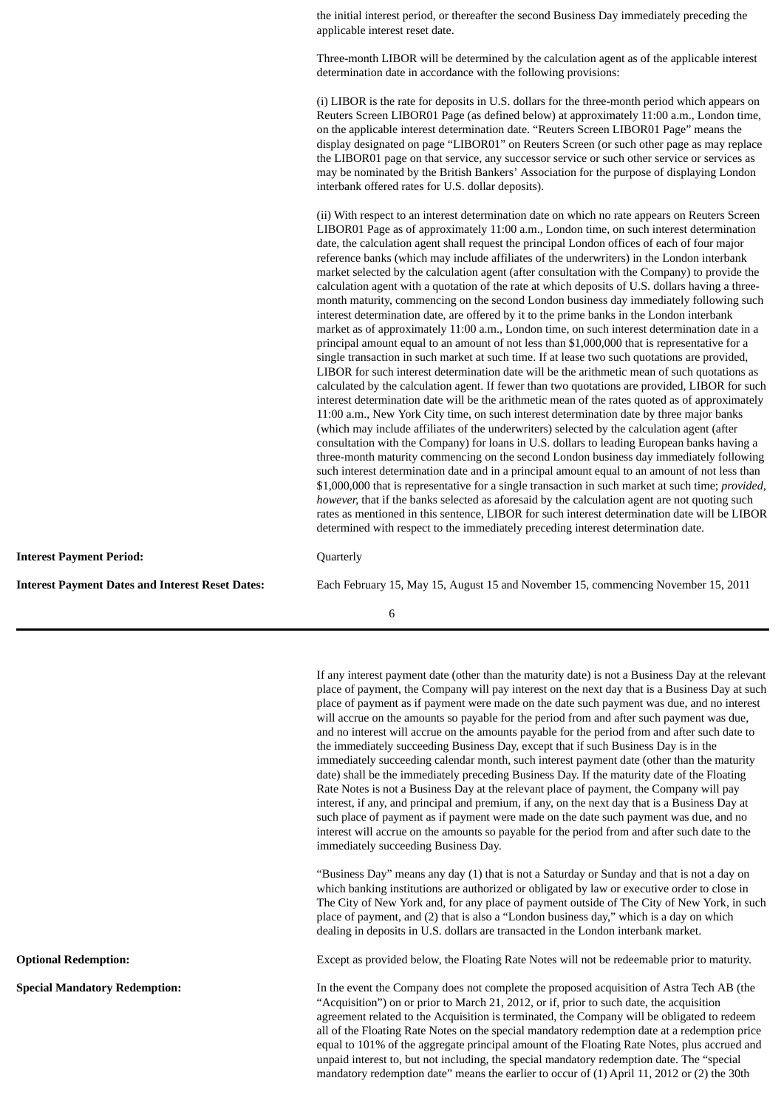the initial interest period, or thereafter the second Business Day immediately preceding the applicable interest reset date.

Three-month LIBOR will be determined by the calculation agent as of the applicable interest determination date in accordance with the following provisions:

(i) LIBOR is the rate for deposits in U.S. dollars for the three-month period which appears on Reuters Screen LIBOR01 Page (as defined below) at approximately 11:00 a.m., London time, on the applicable interest determination date. "Reuters Screen LIBOR01 Page" means the display designated on page "LIBOR01" on Reuters Screen (or such other page as may replace the LIBOR01 page on that service, any successor service or such other service or services as may be nominated by the British Bankers' Association for the purpose of displaying London interbank offered rates for U.S. dollar deposits).

(ii) With respect to an interest determination date on which no rate appears on Reuters Screen LIBOR01 Page as of approximately 11:00 a.m., London time, on such interest determination date, the calculation agent shall request the principal London offices of each of four major reference banks (which may include affiliates of the underwriters) in the London interbank market selected by the calculation agent (after consultation with the Company) to provide the calculation agent with a quotation of the rate at which deposits of U.S. dollars having a threemonth maturity, commencing on the second London business day immediately following such interest determination date, are offered by it to the prime banks in the London interbank market as of approximately 11:00 a.m., London time, on such interest determination date in a principal amount equal to an amount of not less than \$1,000,000 that is representative for a single transaction in such market at such time. If at lease two such quotations are provided, LIBOR for such interest determination date will be the arithmetic mean of such quotations as calculated by the calculation agent. If fewer than two quotations are provided, LIBOR for such interest determination date will be the arithmetic mean of the rates quoted as of approximately 11:00 a.m., New York City time, on such interest determination date by three major banks (which may include affiliates of the underwriters) selected by the calculation agent (after consultation with the Company) for loans in U.S. dollars to leading European banks having a three-month maturity commencing on the second London business day immediately following such interest determination date and in a principal amount equal to an amount of not less than \$1,000,000 that is representative for a single transaction in such market at such time; *provided, however,* that if the banks selected as aforesaid by the calculation agent are not quoting such rates as mentioned in this sentence, LIBOR for such interest determination date will be LIBOR determined with respect to the immediately preceding interest determination date.

**Interest Payment Period:** Quarterly

**Interest Payment Dates and Interest Reset Dates:** Each February 15, May 15, August 15 and November 15, commencing November 15, 2011

6

If any interest payment date (other than the maturity date) is not a Business Day at the relevant place of payment, the Company will pay interest on the next day that is a Business Day at such place of payment as if payment were made on the date such payment was due, and no interest will accrue on the amounts so payable for the period from and after such payment was due, and no interest will accrue on the amounts payable for the period from and after such date to the immediately succeeding Business Day, except that if such Business Day is in the immediately succeeding calendar month, such interest payment date (other than the maturity date) shall be the immediately preceding Business Day. If the maturity date of the Floating Rate Notes is not a Business Day at the relevant place of payment, the Company will pay interest, if any, and principal and premium, if any, on the next day that is a Business Day at such place of payment as if payment were made on the date such payment was due, and no interest will accrue on the amounts so payable for the period from and after such date to the immediately succeeding Business Day.

"Business Day" means any day (1) that is not a Saturday or Sunday and that is not a day on which banking institutions are authorized or obligated by law or executive order to close in The City of New York and, for any place of payment outside of The City of New York, in such place of payment, and (2) that is also a "London business day," which is a day on which dealing in deposits in U.S. dollars are transacted in the London interbank market.

**Optional Redemption:** Except as provided below, the Floating Rate Notes will not be redeemable prior to maturity.

**Special Mandatory Redemption:** In the event the Company does not complete the proposed acquisition of Astra Tech AB (the "Acquisition") on or prior to March 21, 2012, or if, prior to such date, the acquisition agreement related to the Acquisition is terminated, the Company will be obligated to redeem all of the Floating Rate Notes on the special mandatory redemption date at a redemption price equal to 101% of the aggregate principal amount of the Floating Rate Notes, plus accrued and unpaid interest to, but not including, the special mandatory redemption date. The "special mandatory redemption date" means the earlier to occur of (1) April 11, 2012 or (2) the 30th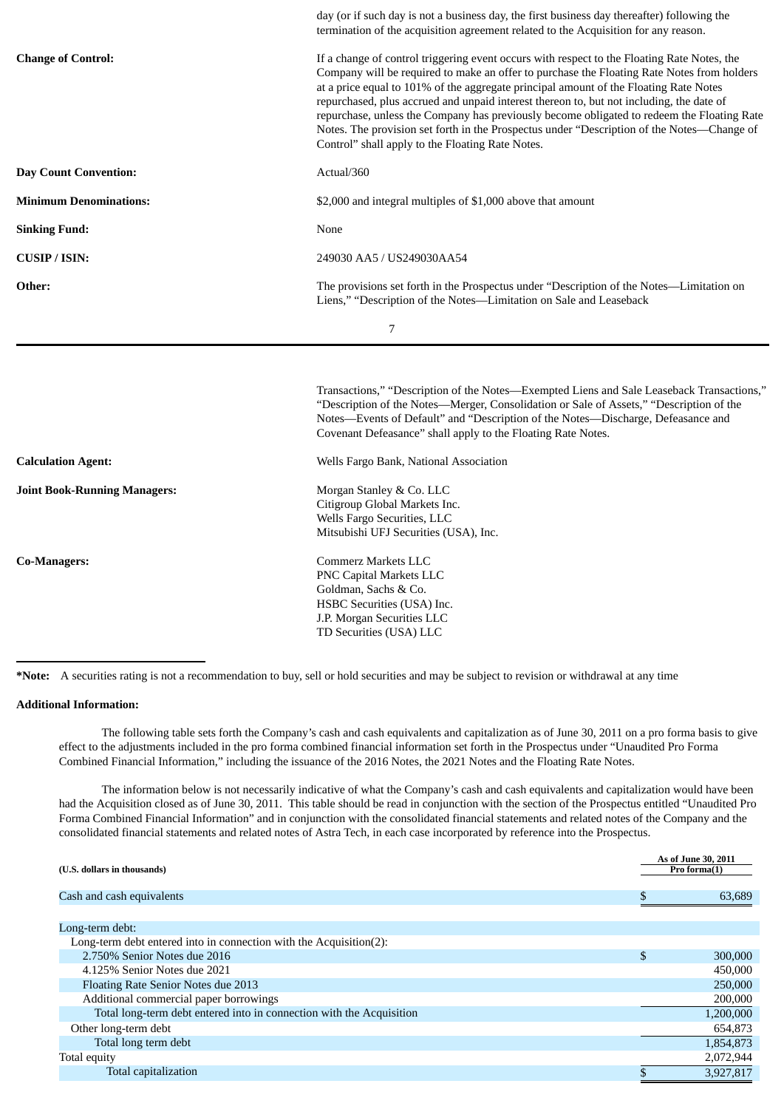|                               | day (or if such day is not a business day, the first business day thereafter) following the<br>termination of the acquisition agreement related to the Acquisition for any reason.                                                                                                                                                                                                                                                                                                                                                                                                                                             |  |  |  |
|-------------------------------|--------------------------------------------------------------------------------------------------------------------------------------------------------------------------------------------------------------------------------------------------------------------------------------------------------------------------------------------------------------------------------------------------------------------------------------------------------------------------------------------------------------------------------------------------------------------------------------------------------------------------------|--|--|--|
| <b>Change of Control:</b>     | If a change of control triggering event occurs with respect to the Floating Rate Notes, the<br>Company will be required to make an offer to purchase the Floating Rate Notes from holders<br>at a price equal to 101% of the aggregate principal amount of the Floating Rate Notes<br>repurchased, plus accrued and unpaid interest thereon to, but not including, the date of<br>repurchase, unless the Company has previously become obligated to redeem the Floating Rate<br>Notes. The provision set forth in the Prospectus under "Description of the Notes-Change of<br>Control" shall apply to the Floating Rate Notes. |  |  |  |
| <b>Day Count Convention:</b>  | Actual/360                                                                                                                                                                                                                                                                                                                                                                                                                                                                                                                                                                                                                     |  |  |  |
| <b>Minimum Denominations:</b> | \$2,000 and integral multiples of \$1,000 above that amount                                                                                                                                                                                                                                                                                                                                                                                                                                                                                                                                                                    |  |  |  |
| <b>Sinking Fund:</b>          | None                                                                                                                                                                                                                                                                                                                                                                                                                                                                                                                                                                                                                           |  |  |  |
| <b>CUSIP</b> / ISIN:          | 249030 AA5 / US249030AA54                                                                                                                                                                                                                                                                                                                                                                                                                                                                                                                                                                                                      |  |  |  |
| Other:                        | The provisions set forth in the Prospectus under "Description of the Notes-Limitation on<br>Liens," "Description of the Notes-Limitation on Sale and Leaseback                                                                                                                                                                                                                                                                                                                                                                                                                                                                 |  |  |  |
|                               | 7                                                                                                                                                                                                                                                                                                                                                                                                                                                                                                                                                                                                                              |  |  |  |
|                               |                                                                                                                                                                                                                                                                                                                                                                                                                                                                                                                                                                                                                                |  |  |  |
|                               | Transactions," "Description of the Notes—Exempted Liens and Sale Leaseback Transactions,"<br>"Description of the Notes—Merger, Consolidation or Sale of Assets," "Description of the<br>Notes-Events of Default" and "Description of the Notes-Discharge, Defeasance and<br>Covenant Defeasance" shall apply to the Floating Rate Notes.                                                                                                                                                                                                                                                                                       |  |  |  |
|                               |                                                                                                                                                                                                                                                                                                                                                                                                                                                                                                                                                                                                                                |  |  |  |
| <b>Calculation Agent:</b>     | Wells Fargo Bank, National Association                                                                                                                                                                                                                                                                                                                                                                                                                                                                                                                                                                                         |  |  |  |
| Joint Book-Running Managers:  | Morgan Stanley & Co. LLC<br>Citigroup Global Markets Inc.<br>Wells Fargo Securities, LLC<br>Mitsubishi UFJ Securities (USA), Inc.                                                                                                                                                                                                                                                                                                                                                                                                                                                                                              |  |  |  |

**\*Note:** A securities rating is not a recommendation to buy, sell or hold securities and may be subject to revision or withdrawal at any time

#### **Additional Information:**

The following table sets forth the Company's cash and cash equivalents and capitalization as of June 30, 2011 on a pro forma basis to give effect to the adjustments included in the pro forma combined financial information set forth in the Prospectus under "Unaudited Pro Forma Combined Financial Information," including the issuance of the 2016 Notes, the 2021 Notes and the Floating Rate Notes.

The information below is not necessarily indicative of what the Company's cash and cash equivalents and capitalization would have been had the Acquisition closed as of June 30, 2011. This table should be read in conjunction with the section of the Prospectus entitled "Unaudited Pro Forma Combined Financial Information" and in conjunction with the consolidated financial statements and related notes of the Company and the consolidated financial statements and related notes of Astra Tech, in each case incorporated by reference into the Prospectus.

| (U.S. dollars in thousands)                                          | As of June 30, 2011<br>Pro forma(1) |
|----------------------------------------------------------------------|-------------------------------------|
| Cash and cash equivalents                                            | 63,689                              |
|                                                                      |                                     |
| Long-term debt:                                                      |                                     |
| Long-term debt entered into in connection with the Acquisition(2):   |                                     |
| 2.750% Senior Notes due 2016                                         | \$<br>300,000                       |
| 4.125% Senior Notes due 2021                                         | 450,000                             |
| Floating Rate Senior Notes due 2013                                  | 250,000                             |
| Additional commercial paper borrowings                               | 200,000                             |
| Total long-term debt entered into in connection with the Acquisition | 1,200,000                           |
| Other long-term debt                                                 | 654,873                             |
| Total long term debt                                                 | 1,854,873                           |
| Total equity                                                         | 2,072,944                           |
| Total capitalization                                                 | 3,927,817                           |